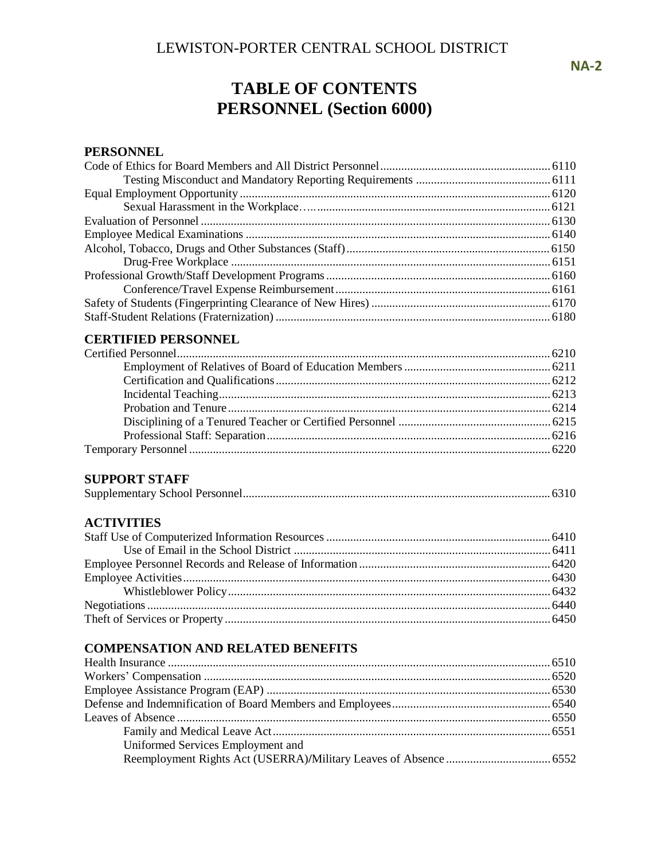**TABLE OF CONTENTS PERSONNEL (Section 6000)**

# **PERSONNEL**

| <b>CERTIFIED PERSONNEL</b>               |  |
|------------------------------------------|--|
|                                          |  |
|                                          |  |
|                                          |  |
|                                          |  |
|                                          |  |
|                                          |  |
|                                          |  |
|                                          |  |
|                                          |  |
| <b>SUPPORT STAFF</b>                     |  |
|                                          |  |
| <b>ACTIVITIES</b>                        |  |
|                                          |  |
|                                          |  |
|                                          |  |
|                                          |  |
|                                          |  |
|                                          |  |
|                                          |  |
|                                          |  |
| <b>COMPENSATION AND RELATED BENEFITS</b> |  |
|                                          |  |
|                                          |  |
|                                          |  |
|                                          |  |
|                                          |  |
|                                          |  |
| Uniformed Services Employment and        |  |

Reemployment Rights Act (USERRA)**/**Military Leaves of Absence ................................... 6552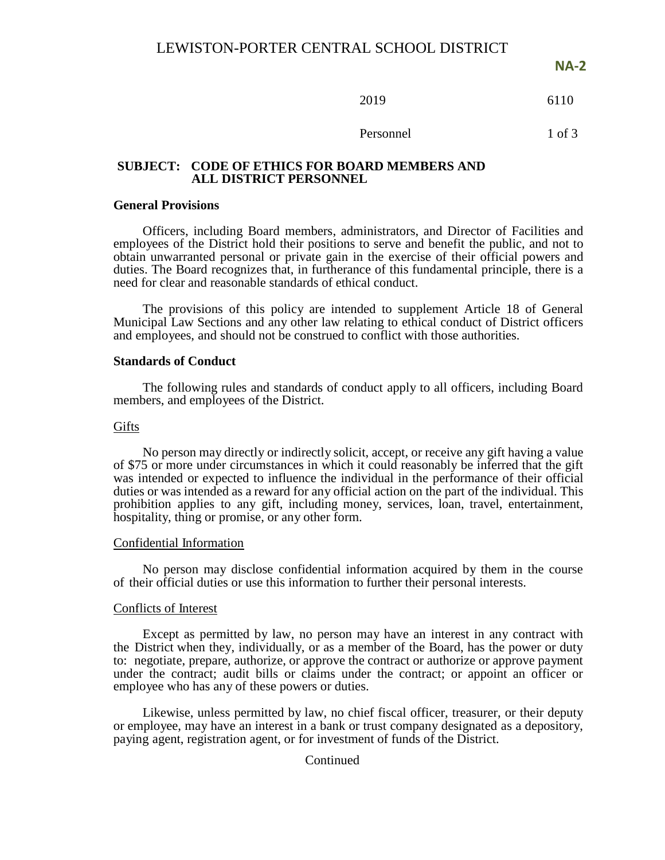**NA-2**

$$
2019 \t\t\t 6110
$$

### Personnel 1 of 3

### **SUBJECT: CODE OF ETHICS FOR BOARD MEMBERS AND ALL DISTRICT PERSONNEL**

#### **General Provisions**

Officers, including Board members, administrators, and Director of Facilities and employees of the District hold their positions to serve and benefit the public, and not to obtain unwarranted personal or private gain in the exercise of their official powers and duties. The Board recognizes that, in furtherance of this fundamental principle, there is a need for clear and reasonable standards of ethical conduct.

The provisions of this policy are intended to supplement Article 18 of General Municipal Law Sections and any other law relating to ethical conduct of District officers and employees, and should not be construed to conflict with those authorities.

#### **Standards of Conduct**

The following rules and standards of conduct apply to all officers, including Board members, and employees of the District.

#### Gifts

No person may directly or indirectly solicit, accept, or receive any gift having a value of \$75 or more under circumstances in which it could reasonably be inferred that the gift was intended or expected to influence the individual in the performance of their official duties or was intended as a reward for any official action on the part of the individual. This prohibition applies to any gift, including money, services, loan, travel, entertainment, hospitality, thing or promise, or any other form.

#### Confidential Information

No person may disclose confidential information acquired by them in the course of their official duties or use this information to further their personal interests.

### Conflicts of Interest

Except as permitted by law, no person may have an interest in any contract with the District when they, individually, or as a member of the Board, has the power or duty to: negotiate, prepare, authorize, or approve the contract or authorize or approve payment under the contract; audit bills or claims under the contract; or appoint an officer or employee who has any of these powers or duties.

Likewise, unless permitted by law, no chief fiscal officer, treasurer, or their deputy or employee, may have an interest in a bank or trust company designated as a depository, paying agent, registration agent, or for investment of funds of the District.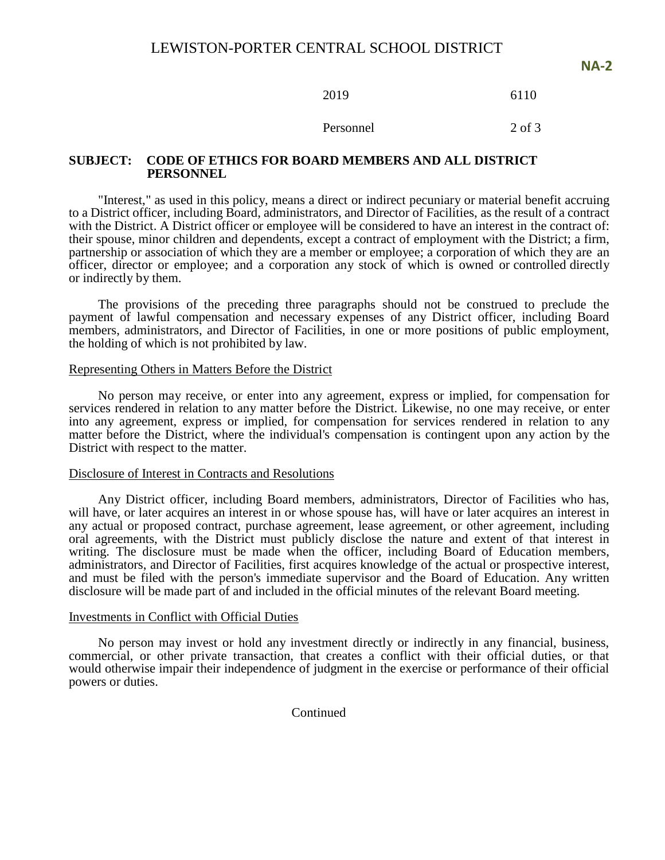2019 6110

Personnel 2 of 3

### **SUBJECT: CODE OF ETHICS FOR BOARD MEMBERS AND ALL DISTRICT PERSONNEL**

"Interest," as used in this policy, means a direct or indirect pecuniary or material benefit accruing to a District officer, including Board, administrators, and Director of Facilities, as the result of a contract with the District. A District officer or employee will be considered to have an interest in the contract of: their spouse, minor children and dependents, except a contract of employment with the District; a firm, partnership or association of which they are a member or employee; a corporation of which they are an officer, director or employee; and a corporation any stock of which is owned or controlled directly or indirectly by them.

The provisions of the preceding three paragraphs should not be construed to preclude the payment of lawful compensation and necessary expenses of any District officer, including Board members, administrators, and Director of Facilities, in one or more positions of public employment, the holding of which is not prohibited by law.

#### Representing Others in Matters Before the District

No person may receive, or enter into any agreement, express or implied, for compensation for services rendered in relation to any matter before the District. Likewise, no one may receive, or enter into any agreement, express or implied, for compensation for services rendered in relation to any matter before the District, where the individual's compensation is contingent upon any action by the District with respect to the matter.

#### Disclosure of Interest in Contracts and Resolutions

Any District officer, including Board members, administrators, Director of Facilities who has, will have, or later acquires an interest in or whose spouse has, will have or later acquires an interest in any actual or proposed contract, purchase agreement, lease agreement, or other agreement, including oral agreements, with the District must publicly disclose the nature and extent of that interest in writing. The disclosure must be made when the officer, including Board of Education members, administrators, and Director of Facilities, first acquires knowledge of the actual or prospective interest, and must be filed with the person's immediate supervisor and the Board of Education. Any written disclosure will be made part of and included in the official minutes of the relevant Board meeting.

#### Investments in Conflict with Official Duties

No person may invest or hold any investment directly or indirectly in any financial, business, commercial, or other private transaction, that creates a conflict with their official duties, or that would otherwise impair their independence of judgment in the exercise or performance of their official powers or duties.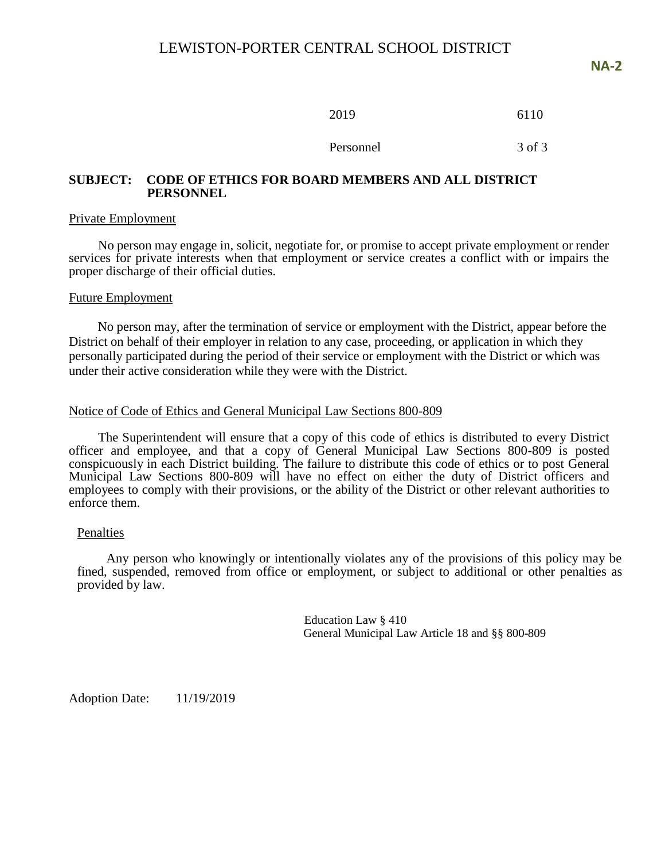| 2019 | 6110 |
|------|------|
|      |      |

Personnel 3 of 3

### **SUBJECT: CODE OF ETHICS FOR BOARD MEMBERS AND ALL DISTRICT PERSONNEL**

### Private Employment

No person may engage in, solicit, negotiate for, or promise to accept private employment or render services for private interests when that employment or service creates a conflict with or impairs the proper discharge of their official duties.

### Future Employment

 No person may, after the termination of service or employment with the District, appear before the District on behalf of their employer in relation to any case, proceeding, or application in which they personally participated during the period of their service or employment with the District or which was under their active consideration while they were with the District.

### Notice of Code of Ethics and General Municipal Law Sections 800-809

The Superintendent will ensure that a copy of this code of ethics is distributed to every District officer and employee, and that a copy of General Municipal Law Sections 800-809 is posted conspicuously in each District building. The failure to distribute this code of ethics or to post General Municipal Law Sections 800-809 will have no effect on either the duty of District officers and employees to comply with their provisions, or the ability of the District or other relevant authorities to enforce them.

### Penalties

Any person who knowingly or intentionally violates any of the provisions of this policy may be fined, suspended, removed from office or employment, or subject to additional or other penalties as provided by law.

> Education Law § 410 General Municipal Law Article 18 and §§ 800-809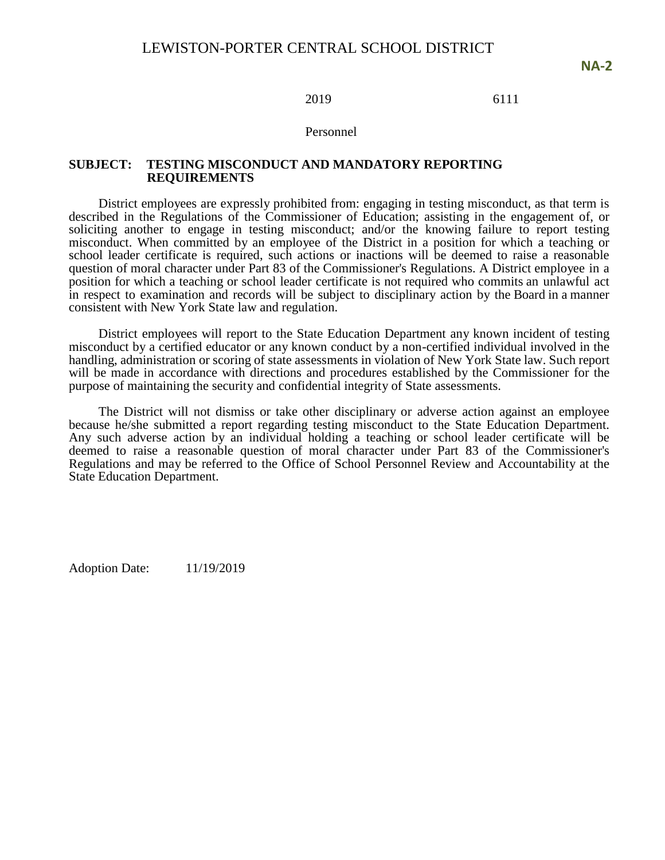### 2019 6111

### Personnel

### **SUBJECT: TESTING MISCONDUCT AND MANDATORY REPORTING REQUIREMENTS**

District employees are expressly prohibited from: engaging in testing misconduct, as that term is described in the Regulations of the Commissioner of Education; assisting in the engagement of, or soliciting another to engage in testing misconduct; and/or the knowing failure to report testing misconduct. When committed by an employee of the District in a position for which a teaching or school leader certificate is required, such actions or inactions will be deemed to raise a reasonable question of moral character under Part 83 of the Commissioner's Regulations. A District employee in a position for which a teaching or school leader certificate is not required who commits an unlawful act in respect to examination and records will be subject to disciplinary action by the Board in a manner consistent with New York State law and regulation.

District employees will report to the State Education Department any known incident of testing misconduct by a certified educator or any known conduct by a non-certified individual involved in the handling, administration or scoring of state assessments in violation of New York State law. Such report will be made in accordance with directions and procedures established by the Commissioner for the purpose of maintaining the security and confidential integrity of State assessments.

The District will not dismiss or take other disciplinary or adverse action against an employee because he/she submitted a report regarding testing misconduct to the State Education Department. Any such adverse action by an individual holding a teaching or school leader certificate will be deemed to raise a reasonable question of moral character under Part 83 of the Commissioner's Regulations and may be referred to the Office of School Personnel Review and Accountability at the State Education Department.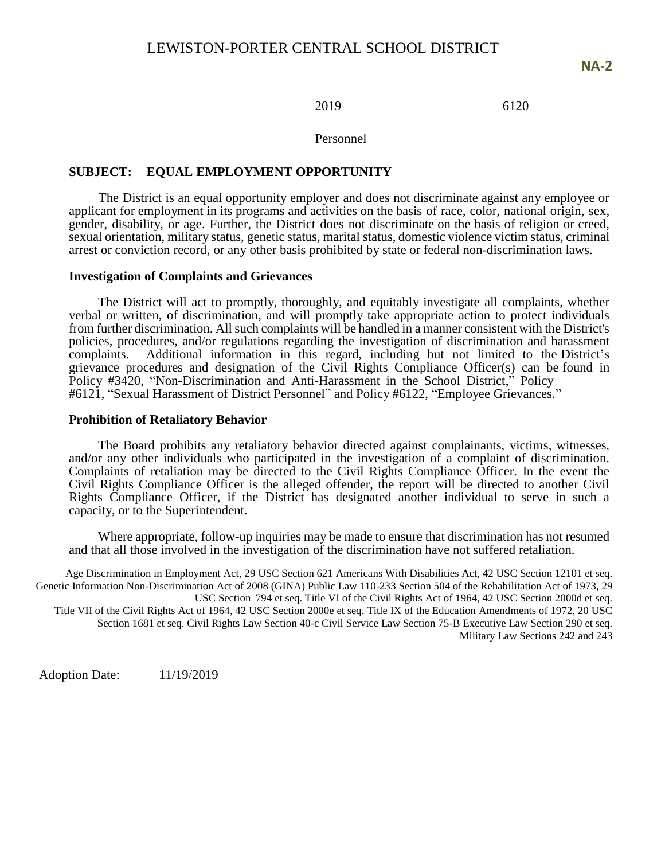**NA-2**

### 2019 6120

Personnel

### **SUBJECT: EQUAL EMPLOYMENT OPPORTUNITY**

The District is an equal opportunity employer and does not discriminate against any employee or applicant for employment in its programs and activities on the basis of race, color, national origin, sex, gender, disability, or age. Further, the District does not discriminate on the basis of religion or creed, sexual orientation, military status, genetic status, marital status, domestic violence victim status, criminal arrest or conviction record, or any other basis prohibited by state or federal non-discrimination laws.

### **Investigation of Complaints and Grievances**

The District will act to promptly, thoroughly, and equitably investigate all complaints, whether verbal or written, of discrimination, and will promptly take appropriate action to protect individuals from further discrimination. All such complaints will be handled in a manner consistent with the District's policies, procedures, and/or regulations regarding the investigation of discrimination and harassment complaints. Additional information in this regard, including but not limited to the District's grievance procedures and designation of the Civil Rights Compliance Officer(s) can be found in Policy #3420, "Non-Discrimination and Anti-Harassment in the School District," Policy #6121, "Sexual Harassment of District Personnel" and Policy #6122, "Employee Grievances."

### **Prohibition of Retaliatory Behavior**

The Board prohibits any retaliatory behavior directed against complainants, victims, witnesses, and/or any other individuals who participated in the investigation of a complaint of discrimination. Complaints of retaliation may be directed to the Civil Rights Compliance Officer. In the event the Civil Rights Compliance Officer is the alleged offender, the report will be directed to another Civil Rights Compliance Officer, if the District has designated another individual to serve in such a capacity, or to the Superintendent.

Where appropriate, follow-up inquiries may be made to ensure that discrimination has not resumed and that all those involved in the investigation of the discrimination have not suffered retaliation.

Age Discrimination in Employment Act, 29 USC Section 621 Americans With Disabilities Act, 42 USC Section 12101 et seq. Genetic Information Non-Discrimination Act of 2008 (GINA) Public Law 110-233 Section 504 of the Rehabilitation Act of 1973, 29 USC Section 794 et seq. Title VI of the Civil Rights Act of 1964, 42 USC Section 2000d et seq. Title VII of the Civil Rights Act of 1964, 42 USC Section 2000e et seq. Title IX of the Education Amendments of 1972, 20 USC Section 1681 et seq. Civil Rights Law Section 40-c Civil Service Law Section 75-B Executive Law Section 290 et seq. Military Law Sections 242 and 243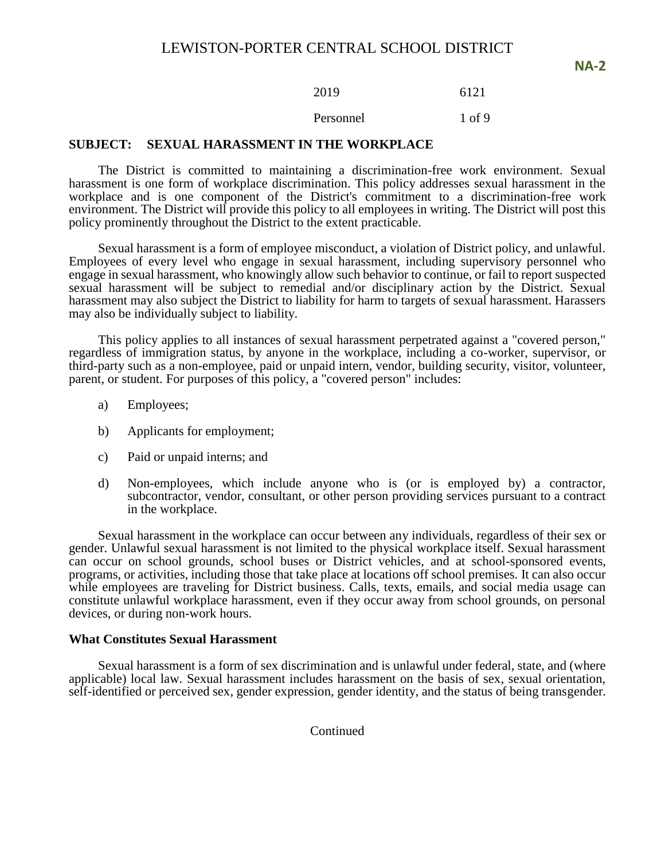2019 6121

Personnel 1 of 9

### **SUBJECT: SEXUAL HARASSMENT IN THE WORKPLACE**

The District is committed to maintaining a discrimination-free work environment. Sexual harassment is one form of workplace discrimination. This policy addresses sexual harassment in the workplace and is one component of the District's commitment to a discrimination-free work environment. The District will provide this policy to all employees in writing. The District will post this policy prominently throughout the District to the extent practicable.

Sexual harassment is a form of employee misconduct, a violation of District policy, and unlawful. Employees of every level who engage in sexual harassment, including supervisory personnel who engage in sexual harassment, who knowingly allow such behavior to continue, or fail to report suspected sexual harassment will be subject to remedial and/or disciplinary action by the District. Sexual harassment may also subject the District to liability for harm to targets of sexual harassment. Harassers may also be individually subject to liability.

This policy applies to all instances of sexual harassment perpetrated against a "covered person," regardless of immigration status, by anyone in the workplace, including a co-worker, supervisor, or third-party such as a non-employee, paid or unpaid intern, vendor, building security, visitor, volunteer, parent, or student. For purposes of this policy, a "covered person" includes:

- a) Employees;
- b) Applicants for employment;
- c) Paid or unpaid interns; and
- d) Non-employees, which include anyone who is (or is employed by) a contractor, subcontractor, vendor, consultant, or other person providing services pursuant to a contract in the workplace.

Sexual harassment in the workplace can occur between any individuals, regardless of their sex or gender. Unlawful sexual harassment is not limited to the physical workplace itself. Sexual harassment can occur on school grounds, school buses or District vehicles, and at school-sponsored events, programs, or activities, including those that take place at locations off school premises. It can also occur while employees are traveling for District business. Calls, texts, emails, and social media usage can constitute unlawful workplace harassment, even if they occur away from school grounds, on personal devices, or during non-work hours.

### **What Constitutes Sexual Harassment**

Sexual harassment is a form of sex discrimination and is unlawful under federal, state, and (where applicable) local law. Sexual harassment includes harassment on the basis of sex, sexual orientation, self-identified or perceived sex, gender expression, gender identity, and the status of being transgender.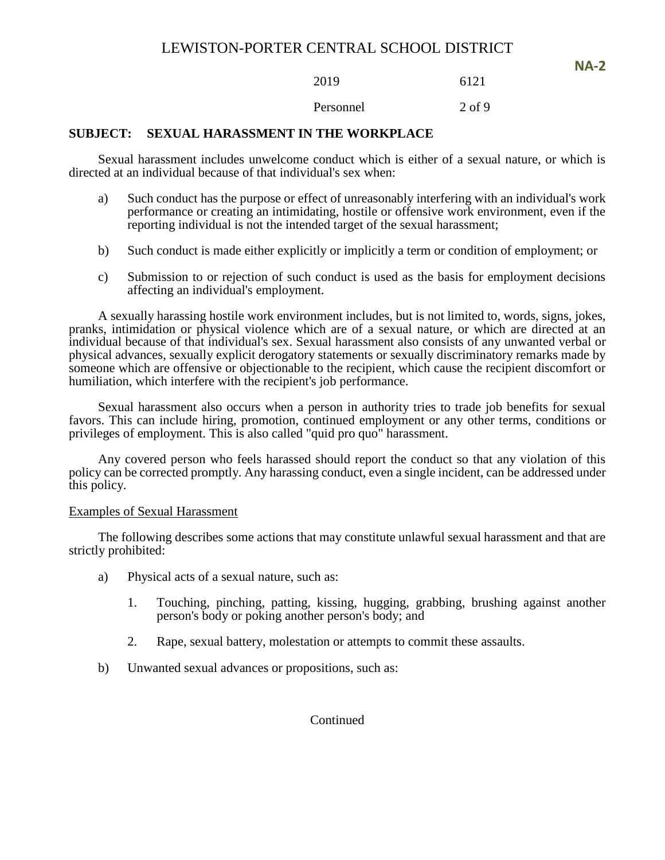2019 6121

Personnel 2 of 9

### **SUBJECT: SEXUAL HARASSMENT IN THE WORKPLACE**

Sexual harassment includes unwelcome conduct which is either of a sexual nature, or which is directed at an individual because of that individual's sex when:

- a) Such conduct has the purpose or effect of unreasonably interfering with an individual's work performance or creating an intimidating, hostile or offensive work environment, even if the reporting individual is not the intended target of the sexual harassment;
- b) Such conduct is made either explicitly or implicitly a term or condition of employment; or
- c) Submission to or rejection of such conduct is used as the basis for employment decisions affecting an individual's employment.

A sexually harassing hostile work environment includes, but is not limited to, words, signs, jokes, pranks, intimidation or physical violence which are of a sexual nature, or which are directed at an individual because of that individual's sex. Sexual harassment also consists of any unwanted verbal or physical advances, sexually explicit derogatory statements or sexually discriminatory remarks made by someone which are offensive or objectionable to the recipient, which cause the recipient discomfort or humiliation, which interfere with the recipient's job performance.

Sexual harassment also occurs when a person in authority tries to trade job benefits for sexual favors. This can include hiring, promotion, continued employment or any other terms, conditions or privileges of employment. This is also called "quid pro quo" harassment.

Any covered person who feels harassed should report the conduct so that any violation of this policy can be corrected promptly. Any harassing conduct, even a single incident, can be addressed under this policy.

### Examples of Sexual Harassment

The following describes some actions that may constitute unlawful sexual harassment and that are strictly prohibited:

- a) Physical acts of a sexual nature, such as:
	- 1. Touching, pinching, patting, kissing, hugging, grabbing, brushing against another person's body or poking another person's body; and
	- 2. Rape, sexual battery, molestation or attempts to commit these assaults.
- b) Unwanted sexual advances or propositions, such as:

### **Continued**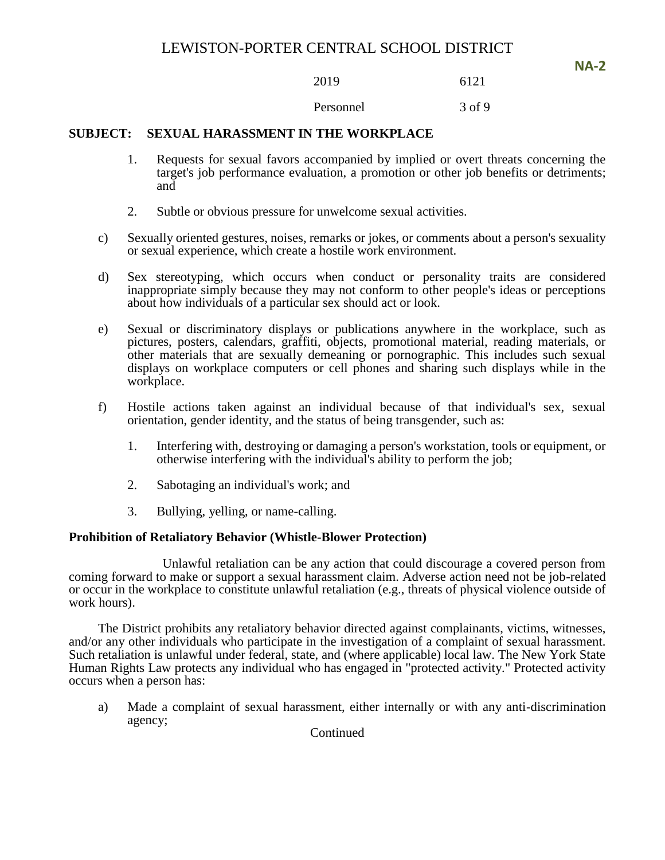2019 6121

Personnel 3 of 9

### **SUBJECT: SEXUAL HARASSMENT IN THE WORKPLACE**

- 1. Requests for sexual favors accompanied by implied or overt threats concerning the target's job performance evaluation, a promotion or other job benefits or detriments; and
- 2. Subtle or obvious pressure for unwelcome sexual activities.
- c) Sexually oriented gestures, noises, remarks or jokes, or comments about a person's sexuality or sexual experience, which create a hostile work environment.
- d) Sex stereotyping, which occurs when conduct or personality traits are considered inappropriate simply because they may not conform to other people's ideas or perceptions about how individuals of a particular sex should act or look.
- e) Sexual or discriminatory displays or publications anywhere in the workplace, such as pictures, posters, calendars, graffiti, objects, promotional material, reading materials, or other materials that are sexually demeaning or pornographic. This includes such sexual displays on workplace computers or cell phones and sharing such displays while in the workplace.
- f) Hostile actions taken against an individual because of that individual's sex, sexual orientation, gender identity, and the status of being transgender, such as:
	- 1. Interfering with, destroying or damaging a person's workstation, tools or equipment, or otherwise interfering with the individual's ability to perform the job;
	- 2. Sabotaging an individual's work; and
	- 3. Bullying, yelling, or name-calling.

### **Prohibition of Retaliatory Behavior (Whistle-Blower Protection)**

Unlawful retaliation can be any action that could discourage a covered person from coming forward to make or support a sexual harassment claim. Adverse action need not be job-related or occur in the workplace to constitute unlawful retaliation (e.g., threats of physical violence outside of work hours).

The District prohibits any retaliatory behavior directed against complainants, victims, witnesses, and/or any other individuals who participate in the investigation of a complaint of sexual harassment. Such retaliation is unlawful under federal, state, and (where applicable) local law. The New York State Human Rights Law protects any individual who has engaged in "protected activity." Protected activity occurs when a person has:

a) Made a complaint of sexual harassment, either internally or with any anti-discrimination agency;

Continued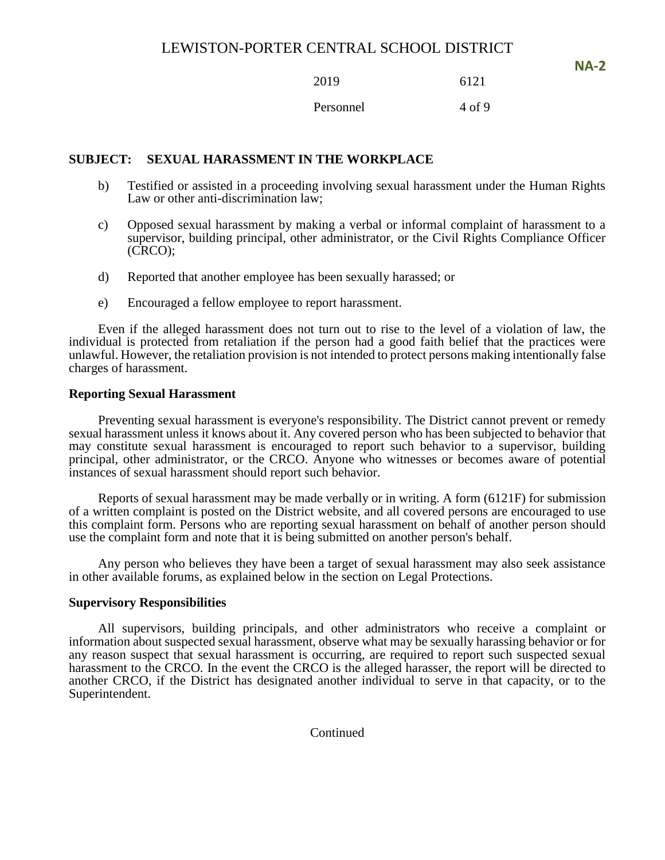2019 6121

Personnel 4 of 9

# **SUBJECT: SEXUAL HARASSMENT IN THE WORKPLACE**

- b) Testified or assisted in a proceeding involving sexual harassment under the Human Rights Law or other anti-discrimination law;
- c) Opposed sexual harassment by making a verbal or informal complaint of harassment to a supervisor, building principal, other administrator, or the Civil Rights Compliance Officer (CRCO);
- d) Reported that another employee has been sexually harassed; or
- e) Encouraged a fellow employee to report harassment.

Even if the alleged harassment does not turn out to rise to the level of a violation of law, the individual is protected from retaliation if the person had a good faith belief that the practices were unlawful. However, the retaliation provision is not intended to protect persons making intentionally false charges of harassment.

### **Reporting Sexual Harassment**

Preventing sexual harassment is everyone's responsibility. The District cannot prevent or remedy sexual harassment unless it knows about it. Any covered person who has been subjected to behavior that may constitute sexual harassment is encouraged to report such behavior to a supervisor, building principal, other administrator, or the CRCO. Anyone who witnesses or becomes aware of potential instances of sexual harassment should report such behavior.

Reports of sexual harassment may be made verbally or in writing. A form (6121F) for submission of a written complaint is posted on the District website, and all covered persons are encouraged to use this complaint form. Persons who are reporting sexual harassment on behalf of another person should use the complaint form and note that it is being submitted on another person's behalf.

Any person who believes they have been a target of sexual harassment may also seek assistance in other available forums, as explained below in the section on Legal Protections.

### **Supervisory Responsibilities**

All supervisors, building principals, and other administrators who receive a complaint or information about suspected sexual harassment, observe what may be sexually harassing behavior or for any reason suspect that sexual harassment is occurring, are required to report such suspected sexual harassment to the CRCO. In the event the CRCO is the alleged harasser, the report will be directed to another CRCO, if the District has designated another individual to serve in that capacity, or to the Superintendent.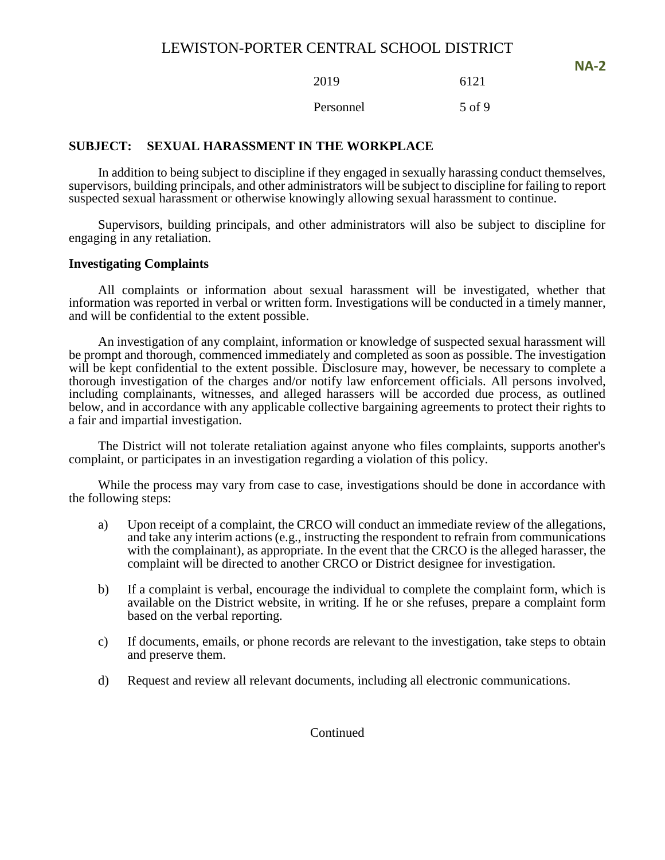2019 6121 Personnel 5 of 9

# **SUBJECT: SEXUAL HARASSMENT IN THE WORKPLACE**

In addition to being subject to discipline if they engaged in sexually harassing conduct themselves, supervisors, building principals, and other administrators will be subject to discipline for failing to report suspected sexual harassment or otherwise knowingly allowing sexual harassment to continue.

Supervisors, building principals, and other administrators will also be subject to discipline for engaging in any retaliation.

### **Investigating Complaints**

All complaints or information about sexual harassment will be investigated, whether that information was reported in verbal or written form. Investigations will be conducted in a timely manner, and will be confidential to the extent possible.

An investigation of any complaint, information or knowledge of suspected sexual harassment will be prompt and thorough, commenced immediately and completed as soon as possible. The investigation will be kept confidential to the extent possible. Disclosure may, however, be necessary to complete a thorough investigation of the charges and/or notify law enforcement officials. All persons involved, including complainants, witnesses, and alleged harassers will be accorded due process, as outlined below, and in accordance with any applicable collective bargaining agreements to protect their rights to a fair and impartial investigation.

The District will not tolerate retaliation against anyone who files complaints, supports another's complaint, or participates in an investigation regarding a violation of this policy.

While the process may vary from case to case, investigations should be done in accordance with the following steps:

- a) Upon receipt of a complaint, the CRCO will conduct an immediate review of the allegations, and take any interim actions (e.g., instructing the respondent to refrain from communications with the complainant), as appropriate. In the event that the CRCO is the alleged harasser, the complaint will be directed to another CRCO or District designee for investigation.
- b) If a complaint is verbal, encourage the individual to complete the complaint form, which is available on the District website, in writing. If he or she refuses, prepare a complaint form based on the verbal reporting.
- c) If documents, emails, or phone records are relevant to the investigation, take steps to obtain and preserve them.
- d) Request and review all relevant documents, including all electronic communications.

### Continued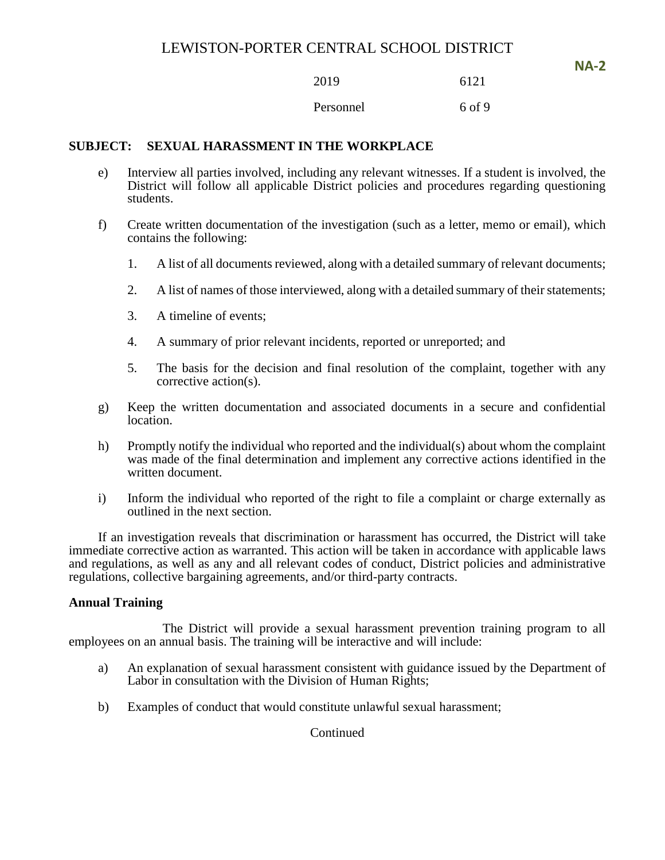2019 6121

Personnel 6 of 9

# **SUBJECT: SEXUAL HARASSMENT IN THE WORKPLACE**

- e) Interview all parties involved, including any relevant witnesses. If a student is involved, the District will follow all applicable District policies and procedures regarding questioning students.
- f) Create written documentation of the investigation (such as a letter, memo or email), which contains the following:
	- 1. A list of all documents reviewed, along with a detailed summary of relevant documents;
	- 2. A list of names of those interviewed, along with a detailed summary of their statements;
	- 3. A timeline of events;
	- 4. A summary of prior relevant incidents, reported or unreported; and
	- 5. The basis for the decision and final resolution of the complaint, together with any corrective action(s).
- g) Keep the written documentation and associated documents in a secure and confidential location.
- h) Promptly notify the individual who reported and the individual(s) about whom the complaint was made of the final determination and implement any corrective actions identified in the written document.
- i) Inform the individual who reported of the right to file a complaint or charge externally as outlined in the next section.

If an investigation reveals that discrimination or harassment has occurred, the District will take immediate corrective action as warranted. This action will be taken in accordance with applicable laws and regulations, as well as any and all relevant codes of conduct, District policies and administrative regulations, collective bargaining agreements, and/or third-party contracts.

### **Annual Training**

The District will provide a sexual harassment prevention training program to all employees on an annual basis. The training will be interactive and will include:

- a) An explanation of sexual harassment consistent with guidance issued by the Department of Labor in consultation with the Division of Human Rights;
- b) Examples of conduct that would constitute unlawful sexual harassment;

Continued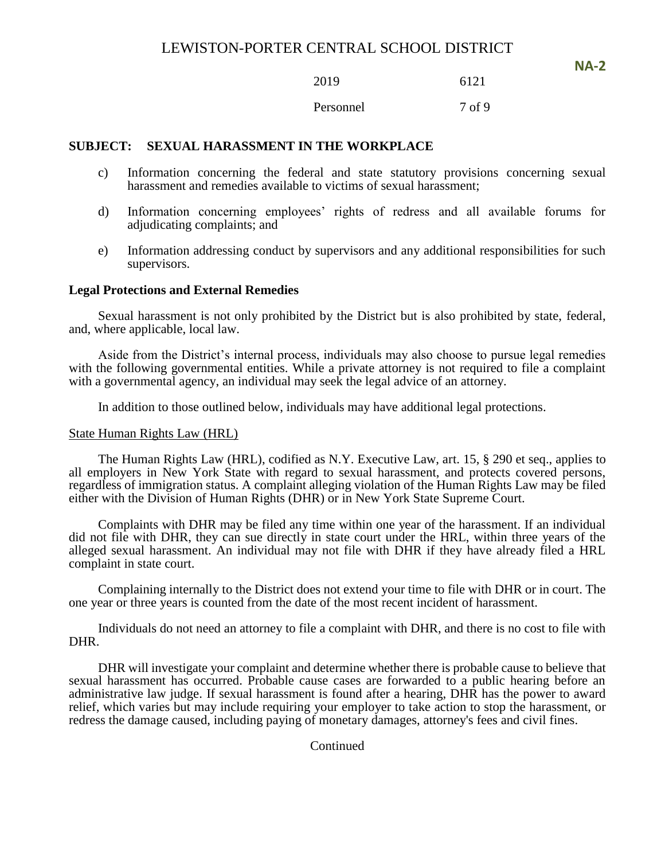**NA-2**

2019 6121

Personnel 7 of 9

# **SUBJECT: SEXUAL HARASSMENT IN THE WORKPLACE**

- c) Information concerning the federal and state statutory provisions concerning sexual harassment and remedies available to victims of sexual harassment;
- d) Information concerning employees' rights of redress and all available forums for adjudicating complaints; and
- e) Information addressing conduct by supervisors and any additional responsibilities for such supervisors.

### **Legal Protections and External Remedies**

Sexual harassment is not only prohibited by the District but is also prohibited by state, federal, and, where applicable, local law.

Aside from the District's internal process, individuals may also choose to pursue legal remedies with the following governmental entities. While a private attorney is not required to file a complaint with a governmental agency, an individual may seek the legal advice of an attorney.

In addition to those outlined below, individuals may have additional legal protections.

### State Human Rights Law (HRL)

The Human Rights Law (HRL), codified as N.Y. Executive Law, art. 15, § 290 et seq., applies to all employers in New York State with regard to sexual harassment, and protects covered persons, regardless of immigration status. A complaint alleging violation of the Human Rights Law may be filed either with the Division of Human Rights (DHR) or in New York State Supreme Court.

Complaints with DHR may be filed any time within one year of the harassment. If an individual did not file with DHR, they can sue directly in state court under the HRL, within three years of the alleged sexual harassment. An individual may not file with DHR if they have already filed a HRL complaint in state court.

Complaining internally to the District does not extend your time to file with DHR or in court. The one year or three years is counted from the date of the most recent incident of harassment.

Individuals do not need an attorney to file a complaint with DHR, and there is no cost to file with DHR.

DHR will investigate your complaint and determine whether there is probable cause to believe that sexual harassment has occurred. Probable cause cases are forwarded to a public hearing before an administrative law judge. If sexual harassment is found after a hearing, DHR has the power to award relief, which varies but may include requiring your employer to take action to stop the harassment, or redress the damage caused, including paying of monetary damages, attorney's fees and civil fines.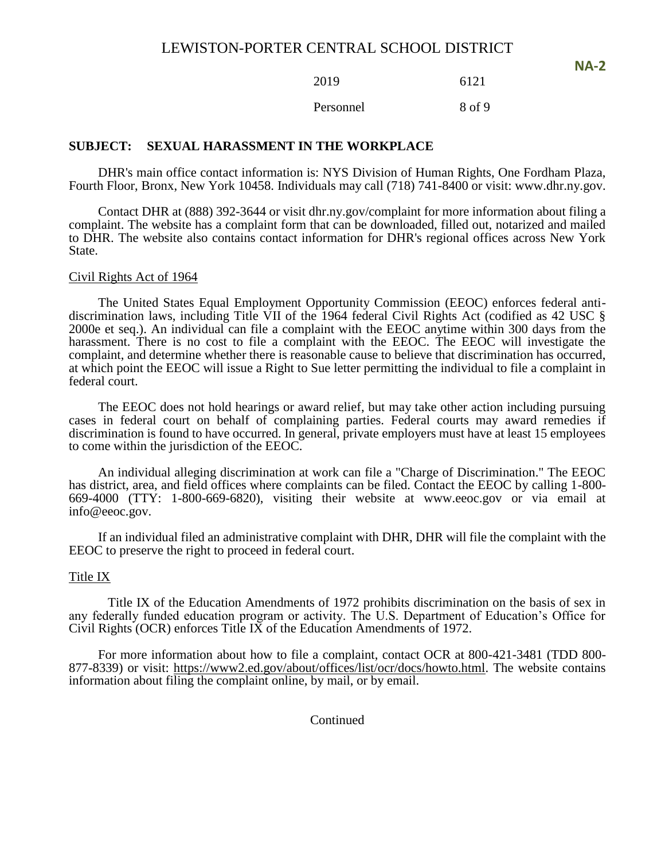2019 6121

Personnel 8 of 9

### **SUBJECT: SEXUAL HARASSMENT IN THE WORKPLACE**

DHR's main office contact information is: NYS Division of Human Rights, One Fordham Plaza, Fourth Floor, Bronx, New York 10458. Individuals may call (718) 741-8400 or visit: www.dhr.ny.gov.

Contact DHR at (888) 392-3644 or visit dhr.ny.gov/complaint for more information about filing a complaint. The website has a complaint form that can be downloaded, filled out, notarized and mailed to DHR. The website also contains contact information for DHR's regional offices across New York State.

#### Civil Rights Act of 1964

The United States Equal Employment Opportunity Commission (EEOC) enforces federal antidiscrimination laws, including Title VII of the 1964 federal Civil Rights Act (codified as 42 USC § 2000e et seq.). An individual can file a complaint with the EEOC anytime within 300 days from the harassment. There is no cost to file a complaint with the EEOC. The EEOC will investigate the complaint, and determine whether there is reasonable cause to believe that discrimination has occurred, at which point the EEOC will issue a Right to Sue letter permitting the individual to file a complaint in federal court.

The EEOC does not hold hearings or award relief, but may take other action including pursuing cases in federal court on behalf of complaining parties. Federal courts may award remedies if discrimination is found to have occurred. In general, private employers must have at least 15 employees to come within the jurisdiction of the EEOC.

An individual alleging discrimination at work can file a "Charge of Discrimination." The EEOC has district, area, and field offices where complaints can be filed. Contact the EEOC by calling 1-800- 669-4000 (TTY: 1-800-669-6820), visiting their website at www.eeoc.gov or via email at info@eeoc.gov.

If an individual filed an administrative complaint with DHR, DHR will file the complaint with the EEOC to preserve the right to proceed in federal court.

#### Title IX

Title IX of the Education Amendments of 1972 prohibits discrimination on the basis of sex in any federally funded education program or activity. The U.S. Department of Education's Office for Civil Rights (OCR) enforces Title IX of the Education Amendments of 1972.

For more information about how to file a complaint, contact OCR at 800-421-3481 (TDD 800- 877-8339) or visit: [https://www2.ed.gov/about/offices/list/ocr/docs/howto.html.](https://www2.ed.gov/about/offices/list/ocr/docs/howto.html) The website contains information about filing the complaint online, by mail, or by email.

**Continued**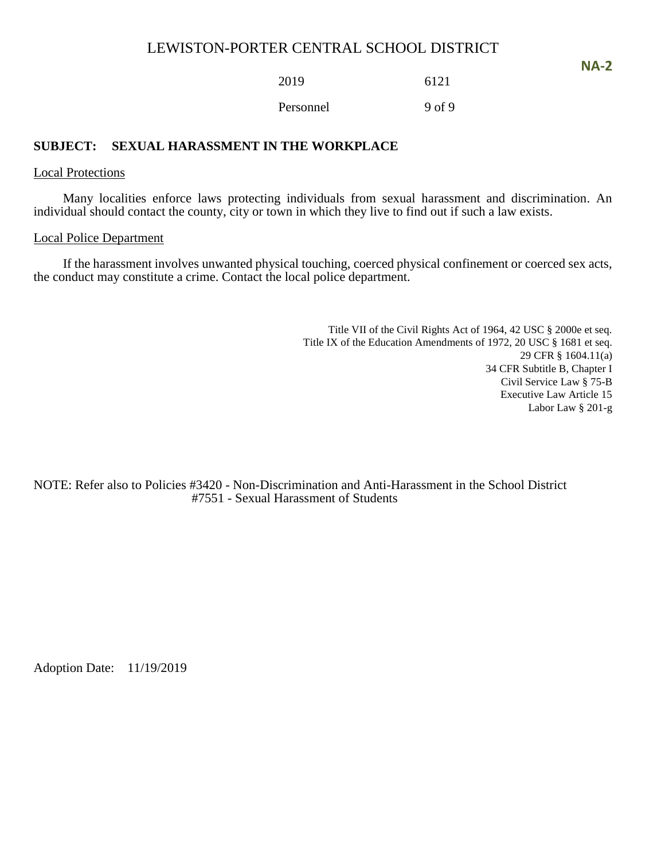**NA-2**

2019 6121

Personnel 9 of 9

# **SUBJECT: SEXUAL HARASSMENT IN THE WORKPLACE**

### Local Protections

Many localities enforce laws protecting individuals from sexual harassment and discrimination. An individual should contact the county, city or town in which they live to find out if such a law exists.

### Local Police Department

If the harassment involves unwanted physical touching, coerced physical confinement or coerced sex acts, the conduct may constitute a crime. Contact the local police department.

> Title VII of the Civil Rights Act of 1964, 42 USC § 2000e et seq. Title IX of the Education Amendments of 1972, 20 USC § 1681 et seq. 29 CFR § 1604.11(a) 34 CFR Subtitle B, Chapter I Civil Service Law § 75-B Executive Law Article 15 Labor Law § 201-g

NOTE: Refer also to Policies #3420 - Non-Discrimination and Anti-Harassment in the School District #7551 - Sexual Harassment of Students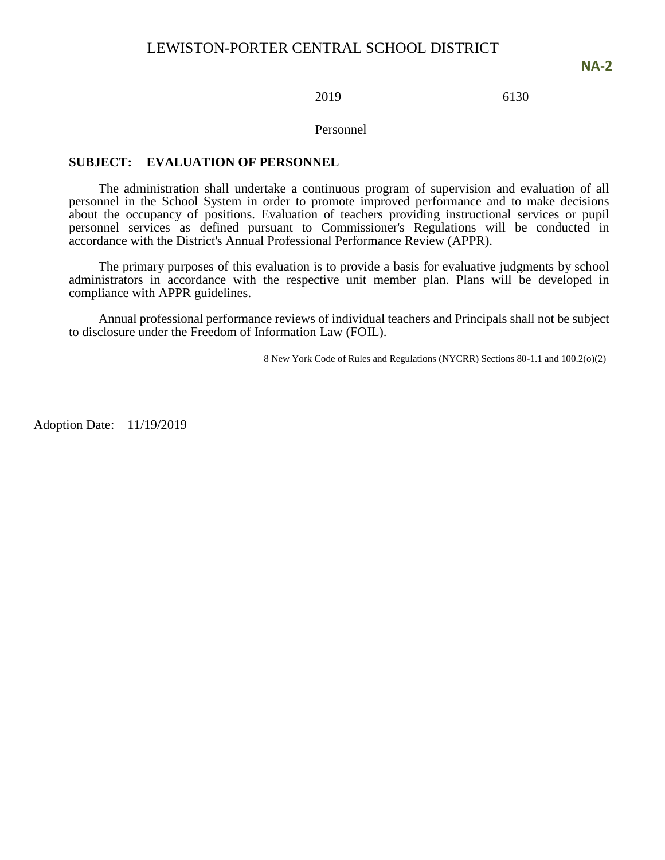### 2019 6130

#### Personnel

### **SUBJECT: EVALUATION OF PERSONNEL**

The administration shall undertake a continuous program of supervision and evaluation of all personnel in the School System in order to promote improved performance and to make decisions about the occupancy of positions. Evaluation of teachers providing instructional services or pupil personnel services as defined pursuant to Commissioner's Regulations will be conducted in accordance with the District's Annual Professional Performance Review (APPR).

The primary purposes of this evaluation is to provide a basis for evaluative judgments by school administrators in accordance with the respective unit member plan. Plans will be developed in compliance with APPR guidelines.

Annual professional performance reviews of individual teachers and Principals shall not be subject to disclosure under the Freedom of Information Law (FOIL).

8 New York Code of Rules and Regulations (NYCRR) Sections 80-1.1 and 100.2(o)(2)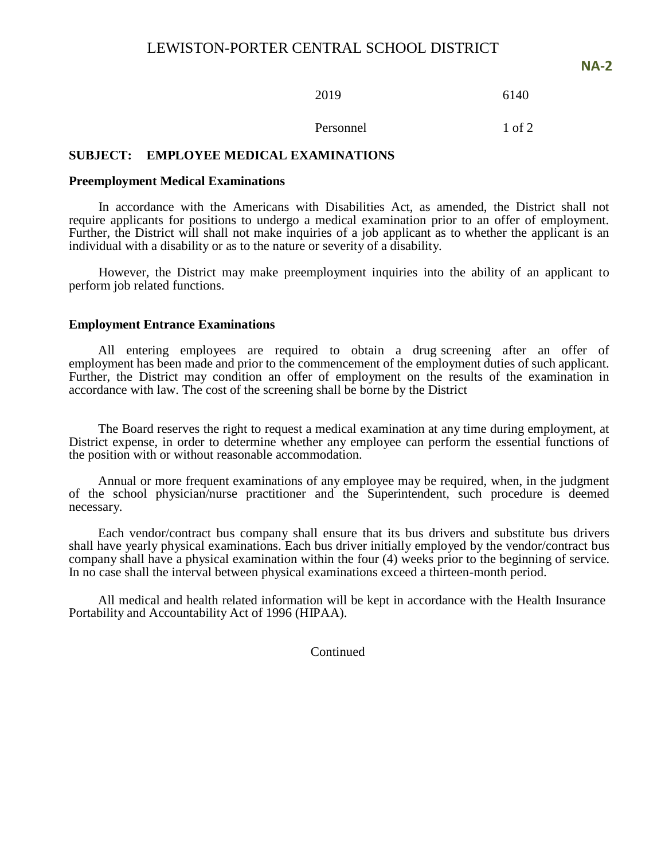**NA-2**

2019 6140

Personnel 1 of 2

### **SUBJECT: EMPLOYEE MEDICAL EXAMINATIONS**

#### **Preemployment Medical Examinations**

In accordance with the Americans with Disabilities Act, as amended, the District shall not require applicants for positions to undergo a medical examination prior to an offer of employment. Further, the District will shall not make inquiries of a job applicant as to whether the applicant is an individual with a disability or as to the nature or severity of a disability.

However, the District may make preemployment inquiries into the ability of an applicant to perform job related functions.

### **Employment Entrance Examinations**

All entering employees are required to obtain a drug screening after an offer of employment has been made and prior to the commencement of the employment duties of such applicant. Further, the District may condition an offer of employment on the results of the examination in accordance with law. The cost of the screening shall be borne by the District

The Board reserves the right to request a medical examination at any time during employment, at District expense, in order to determine whether any employee can perform the essential functions of the position with or without reasonable accommodation.

Annual or more frequent examinations of any employee may be required, when, in the judgment of the school physician/nurse practitioner and the Superintendent, such procedure is deemed necessary.

Each vendor/contract bus company shall ensure that its bus drivers and substitute bus drivers shall have yearly physical examinations. Each bus driver initially employed by the vendor/contract bus company shall have a physical examination within the four (4) weeks prior to the beginning of service. In no case shall the interval between physical examinations exceed a thirteen-month period.

All medical and health related information will be kept in accordance with the Health Insurance Portability and Accountability Act of 1996 (HIPAA).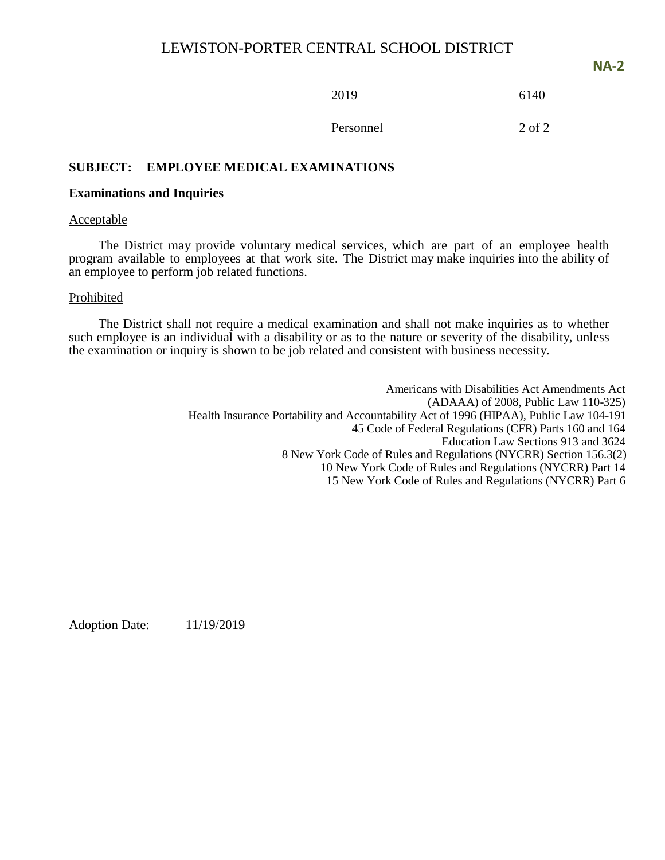**NA-2**

2019 6140

Personnel 2 of 2

# **SUBJECT: EMPLOYEE MEDICAL EXAMINATIONS**

### **Examinations and Inquiries**

### Acceptable

The District may provide voluntary medical services, which are part of an employee health program available to employees at that work site. The District may make inquiries into the ability of an employee to perform job related functions.

### Prohibited

The District shall not require a medical examination and shall not make inquiries as to whether such employee is an individual with a disability or as to the nature or severity of the disability, unless the examination or inquiry is shown to be job related and consistent with business necessity.

> Americans with Disabilities Act Amendments Act (ADAAA) of 2008, Public Law 110-325) Health Insurance Portability and Accountability Act of 1996 (HIPAA), Public Law 104-191 45 Code of Federal Regulations (CFR) Parts 160 and 164 Education Law Sections 913 and 3624 8 New York Code of Rules and Regulations (NYCRR) Section 156.3(2) 10 New York Code of Rules and Regulations (NYCRR) Part 14 15 New York Code of Rules and Regulations (NYCRR) Part 6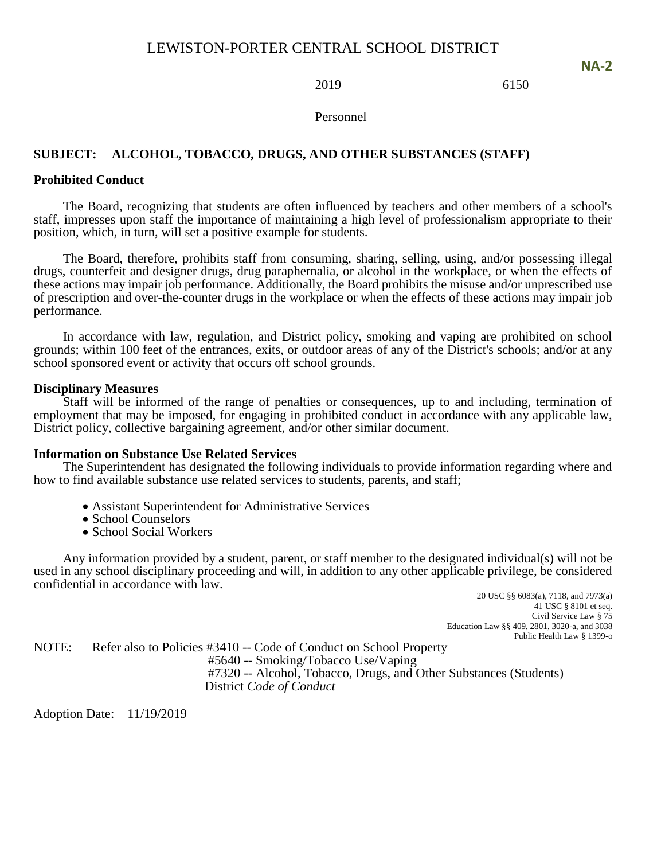### 2019 6150

**NA-2**

Personnel

### **SUBJECT: ALCOHOL, TOBACCO, DRUGS, AND OTHER SUBSTANCES (STAFF)**

### **Prohibited Conduct**

The Board, recognizing that students are often influenced by teachers and other members of a school's staff, impresses upon staff the importance of maintaining a high level of professionalism appropriate to their position, which, in turn, will set a positive example for students.

The Board, therefore, prohibits staff from consuming, sharing, selling, using, and/or possessing illegal drugs, counterfeit and designer drugs, drug paraphernalia, or alcohol in the workplace, or when the effects of these actions may impair job performance. Additionally, the Board prohibits the misuse and/or unprescribed use of prescription and over-the-counter drugs in the workplace or when the effects of these actions may impair job performance.

In accordance with law, regulation, and District policy, smoking and vaping are prohibited on school grounds; within 100 feet of the entrances, exits, or outdoor areas of any of the District's schools; and/or at any school sponsored event or activity that occurs off school grounds.

#### **Disciplinary Measures**

Staff will be informed of the range of penalties or consequences, up to and including, termination of employment that may be imposed, for engaging in prohibited conduct in accordance with any applicable law, District policy, collective bargaining agreement, and/or other similar document.

#### **Information on Substance Use Related Services**

The Superintendent has designated the following individuals to provide information regarding where and how to find available substance use related services to students, parents, and staff;

- Assistant Superintendent for Administrative Services
- School Counselors
- School Social Workers

Any information provided by a student, parent, or staff member to the designated individual(s) will not be used in any school disciplinary proceeding and will, in addition to any other applicable privilege, be considered confidential in accordance with law.

20 USC §§ 6083(a), 7118, and 7973(a) 41 USC § 8101 et seq. Civil Service Law § 75 Education Law §§ 409, 2801, 3020-a, and 3038 Public Health Law § 1399-o

NOTE: Refer also to Policies #3410 -- Code of Conduct on School Property #5640 -- Smoking/Tobacco Use/Vaping #7320 -- Alcohol, Tobacco, Drugs, and Other Substances (Students) District *Code of Conduct*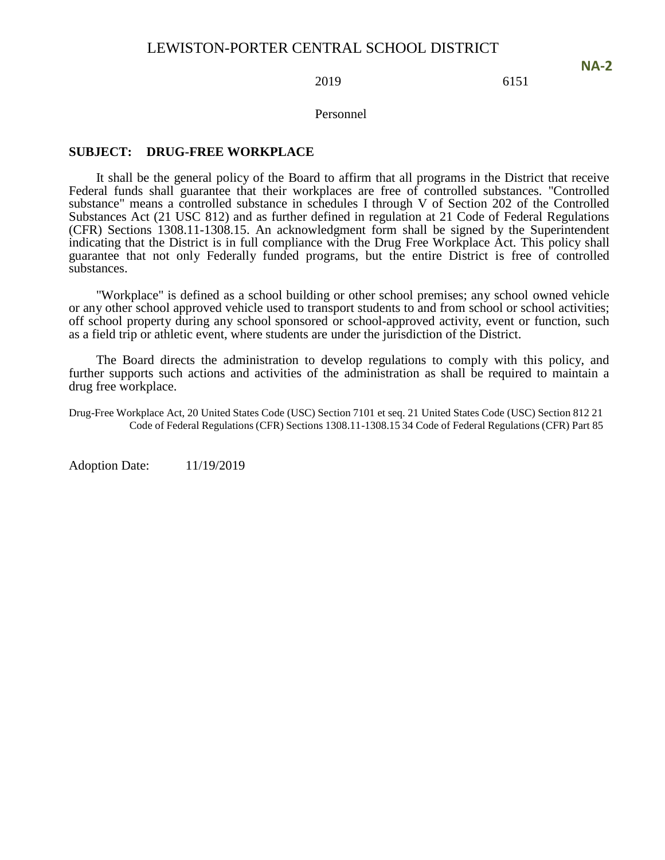#### 2019 6151

Personnel

#### **SUBJECT: DRUG-FREE WORKPLACE**

It shall be the general policy of the Board to affirm that all programs in the District that receive Federal funds shall guarantee that their workplaces are free of controlled substances. "Controlled substance" means a controlled substance in schedules I through V of Section 202 of the Controlled Substances Act (21 USC 812) and as further defined in regulation at 21 Code of Federal Regulations (CFR) Sections 1308.11-1308.15. An acknowledgment form shall be signed by the Superintendent indicating that the District is in full compliance with the Drug Free Workplace Act. This policy shall guarantee that not only Federally funded programs, but the entire District is free of controlled substances.

"Workplace" is defined as a school building or other school premises; any school owned vehicle or any other school approved vehicle used to transport students to and from school or school activities; off school property during any school sponsored or school-approved activity, event or function, such as a field trip or athletic event, where students are under the jurisdiction of the District.

The Board directs the administration to develop regulations to comply with this policy, and further supports such actions and activities of the administration as shall be required to maintain a drug free workplace.

Drug-Free Workplace Act, 20 United States Code (USC) Section 7101 et seq. 21 United States Code (USC) Section 812 21 Code of Federal Regulations (CFR) Sections 1308.11-1308.15 34 Code of Federal Regulations (CFR) Part 85

Adoption Date: 11/19/2019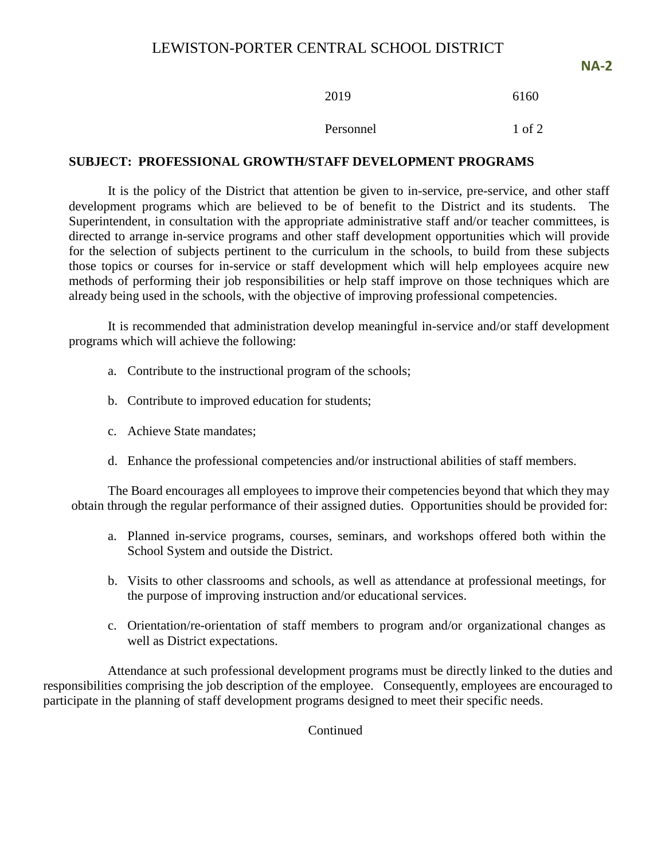Personnel 1 of 2

### **SUBJECT: PROFESSIONAL GROWTH/STAFF DEVELOPMENT PROGRAMS**

It is the policy of the District that attention be given to in-service, pre-service, and other staff development programs which are believed to be of benefit to the District and its students. The Superintendent, in consultation with the appropriate administrative staff and/or teacher committees, is directed to arrange in-service programs and other staff development opportunities which will provide for the selection of subjects pertinent to the curriculum in the schools, to build from these subjects those topics or courses for in-service or staff development which will help employees acquire new methods of performing their job responsibilities or help staff improve on those techniques which are already being used in the schools, with the objective of improving professional competencies.

It is recommended that administration develop meaningful in-service and/or staff development programs which will achieve the following:

- a. Contribute to the instructional program of the schools;
- b. Contribute to improved education for students;
- c. Achieve State mandates;
- d. Enhance the professional competencies and/or instructional abilities of staff members.

The Board encourages all employees to improve their competencies beyond that which they may obtain through the regular performance of their assigned duties. Opportunities should be provided for:

- a. Planned in-service programs, courses, seminars, and workshops offered both within the School System and outside the District.
- b. Visits to other classrooms and schools, as well as attendance at professional meetings, for the purpose of improving instruction and/or educational services.
- c. Orientation/re-orientation of staff members to program and/or organizational changes as well as District expectations.

Attendance at such professional development programs must be directly linked to the duties and responsibilities comprising the job description of the employee. Consequently, employees are encouraged to participate in the planning of staff development programs designed to meet their specific needs.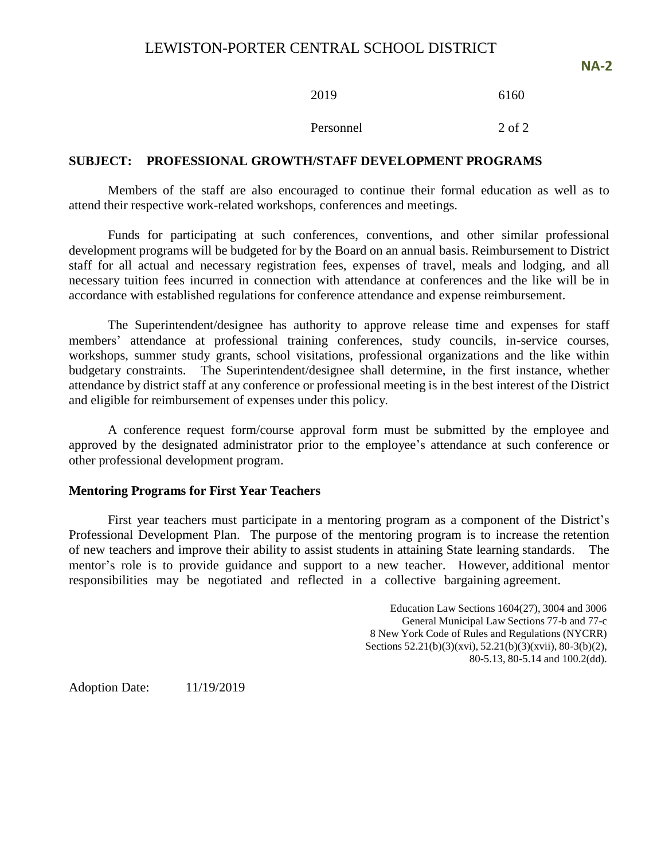| 2019      | 6160   |
|-----------|--------|
| Personnel | 2 of 2 |

### **SUBJECT: PROFESSIONAL GROWTH/STAFF DEVELOPMENT PROGRAMS**

Members of the staff are also encouraged to continue their formal education as well as to attend their respective work-related workshops, conferences and meetings.

Funds for participating at such conferences, conventions, and other similar professional development programs will be budgeted for by the Board on an annual basis. Reimbursement to District staff for all actual and necessary registration fees, expenses of travel, meals and lodging, and all necessary tuition fees incurred in connection with attendance at conferences and the like will be in accordance with established regulations for conference attendance and expense reimbursement.

The Superintendent/designee has authority to approve release time and expenses for staff members' attendance at professional training conferences, study councils, in-service courses, workshops, summer study grants, school visitations, professional organizations and the like within budgetary constraints. The Superintendent/designee shall determine, in the first instance, whether attendance by district staff at any conference or professional meeting is in the best interest of the District and eligible for reimbursement of expenses under this policy.

A conference request form/course approval form must be submitted by the employee and approved by the designated administrator prior to the employee's attendance at such conference or other professional development program.

### **Mentoring Programs for First Year Teachers**

First year teachers must participate in a mentoring program as a component of the District's Professional Development Plan. The purpose of the mentoring program is to increase the retention of new teachers and improve their ability to assist students in attaining State learning standards. The mentor's role is to provide guidance and support to a new teacher. However, additional mentor responsibilities may be negotiated and reflected in a collective bargaining agreement.

> Education Law Sections 1604(27), 3004 and 3006 General Municipal Law Sections 77-b and 77-c 8 New York Code of Rules and Regulations (NYCRR) Sections 52.21(b)(3)(xvi), 52.21(b)(3)(xvii), 80-3(b)(2), 80-5.13, 80-5.14 and 100.2(dd).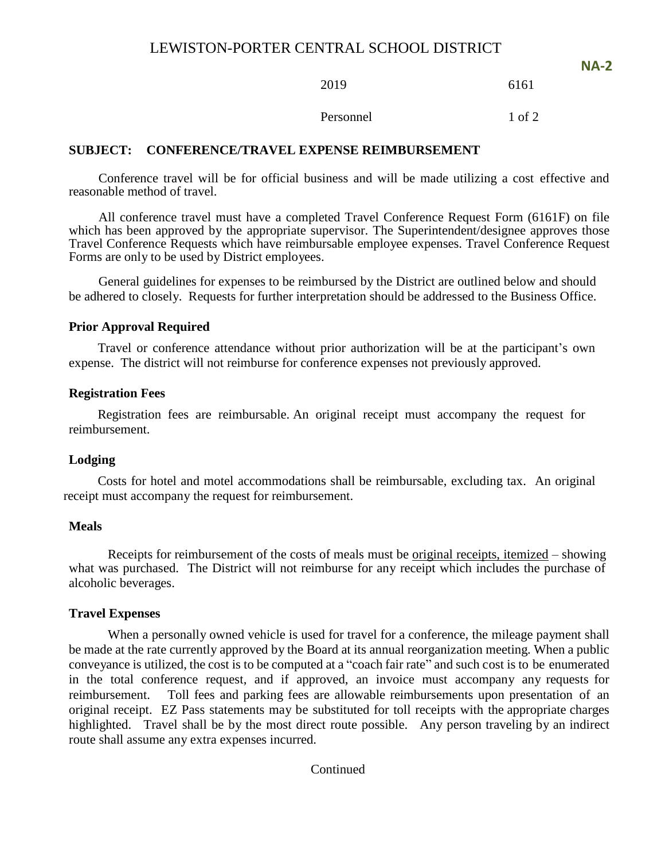2019 6161

**NA-2**

Personnel 1 of 2

### **SUBJECT: CONFERENCE/TRAVEL EXPENSE REIMBURSEMENT**

Conference travel will be for official business and will be made utilizing a cost effective and reasonable method of travel.

All conference travel must have a completed Travel Conference Request Form (6161F) on file which has been approved by the appropriate supervisor. The Superintendent/designee approves those Travel Conference Requests which have reimbursable employee expenses. Travel Conference Request Forms are only to be used by District employees.

General guidelines for expenses to be reimbursed by the District are outlined below and should be adhered to closely. Requests for further interpretation should be addressed to the Business Office.

#### **Prior Approval Required**

Travel or conference attendance without prior authorization will be at the participant's own expense. The district will not reimburse for conference expenses not previously approved.

### **Registration Fees**

Registration fees are reimbursable. An original receipt must accompany the request for reimbursement.

### **Lodging**

Costs for hotel and motel accommodations shall be reimbursable, excluding tax. An original receipt must accompany the request for reimbursement.

#### **Meals**

Receipts for reimbursement of the costs of meals must be original receipts, itemized – showing what was purchased. The District will not reimburse for any receipt which includes the purchase of alcoholic beverages.

#### **Travel Expenses**

When a personally owned vehicle is used for travel for a conference, the mileage payment shall be made at the rate currently approved by the Board at its annual reorganization meeting. When a public conveyance is utilized, the cost is to be computed at a "coach fair rate" and such cost is to be enumerated in the total conference request, and if approved, an invoice must accompany any requests for reimbursement. Toll fees and parking fees are allowable reimbursements upon presentation of an original receipt. EZ Pass statements may be substituted for toll receipts with the appropriate charges highlighted. Travel shall be by the most direct route possible. Any person traveling by an indirect route shall assume any extra expenses incurred.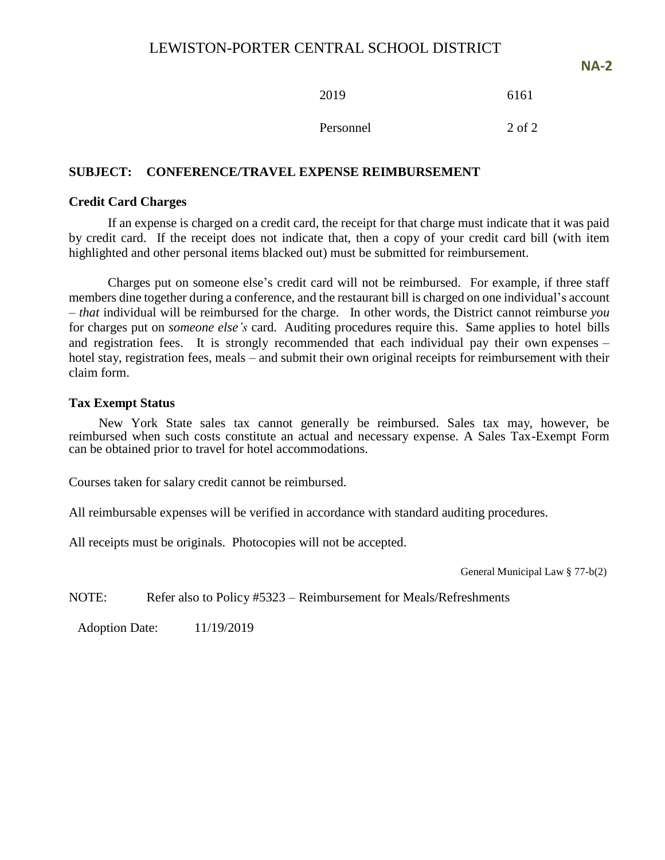**NA-2**

2019 6161

Personnel 2 of 2

# **SUBJECT: CONFERENCE/TRAVEL EXPENSE REIMBURSEMENT**

### **Credit Card Charges**

If an expense is charged on a credit card, the receipt for that charge must indicate that it was paid by credit card. If the receipt does not indicate that, then a copy of your credit card bill (with item highlighted and other personal items blacked out) must be submitted for reimbursement.

Charges put on someone else's credit card will not be reimbursed. For example, if three staff members dine together during a conference, and the restaurant bill is charged on one individual's account – *that* individual will be reimbursed for the charge. In other words, the District cannot reimburse *you* for charges put on *someone else's* card. Auditing procedures require this. Same applies to hotel bills and registration fees. It is strongly recommended that each individual pay their own expenses – hotel stay, registration fees, meals – and submit their own original receipts for reimbursement with their claim form.

### **Tax Exempt Status**

New York State sales tax cannot generally be reimbursed. Sales tax may, however, be reimbursed when such costs constitute an actual and necessary expense. A Sales Tax-Exempt Form can be obtained prior to travel for hotel accommodations.

Courses taken for salary credit cannot be reimbursed.

All reimbursable expenses will be verified in accordance with standard auditing procedures.

All receipts must be originals. Photocopies will not be accepted.

General Municipal Law § 77-b(2)

NOTE: Refer also to Policy #5323 – Reimbursement for Meals/Refreshments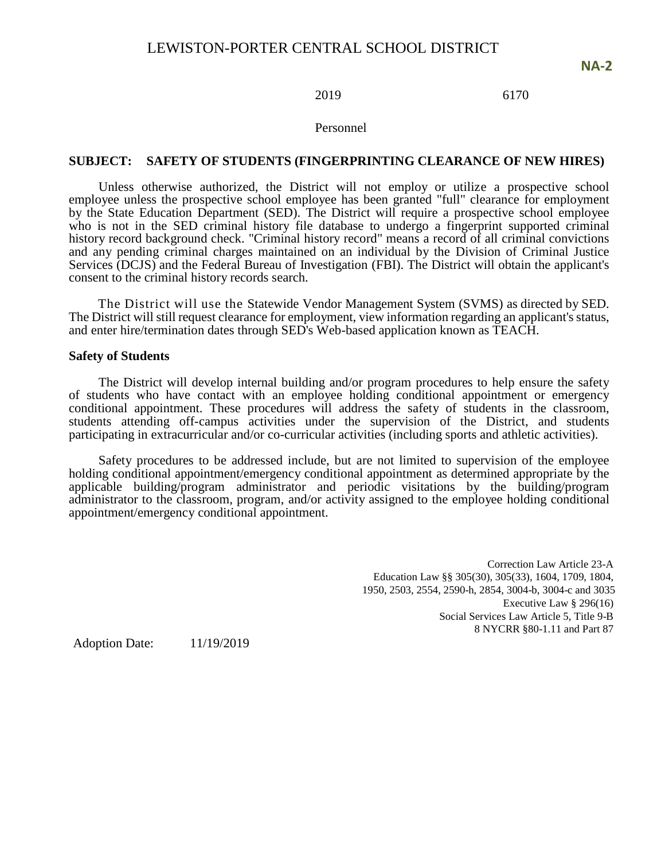### 2019 6170

#### Personnel

#### **SUBJECT: SAFETY OF STUDENTS (FINGERPRINTING CLEARANCE OF NEW HIRES)**

Unless otherwise authorized, the District will not employ or utilize a prospective school employee unless the prospective school employee has been granted "full" clearance for employment by the State Education Department (SED). The District will require a prospective school employee who is not in the SED criminal history file database to undergo a fingerprint supported criminal history record background check. "Criminal history record" means a record of all criminal convictions and any pending criminal charges maintained on an individual by the Division of Criminal Justice Services (DCJS) and the Federal Bureau of Investigation (FBI). The District will obtain the applicant's consent to the criminal history records search.

The District will use the Statewide Vendor Management System (SVMS) as directed by SED. The District will still request clearance for employment, view information regarding an applicant's status, and enter hire/termination dates through SED's Web-based application known as TEACH.

#### **Safety of Students**

The District will develop internal building and/or program procedures to help ensure the safety of students who have contact with an employee holding conditional appointment or emergency conditional appointment. These procedures will address the safety of students in the classroom, students attending off-campus activities under the supervision of the District, and students participating in extracurricular and/or co-curricular activities (including sports and athletic activities).

Safety procedures to be addressed include, but are not limited to supervision of the employee holding conditional appointment/emergency conditional appointment as determined appropriate by the applicable building/program administrator and periodic visitations by the building/program administrator to the classroom, program, and/or activity assigned to the employee holding conditional appointment/emergency conditional appointment.

> Correction Law Article 23-A Education Law §§ 305(30), 305(33), 1604, 1709, 1804, 1950, 2503, 2554, 2590-h, 2854, 3004-b, 3004-c and 3035 Executive Law § 296(16) Social Services Law Article 5, Title 9-B 8 NYCRR §80-1.11 and Part 87

Adoption Date: 11/19/2019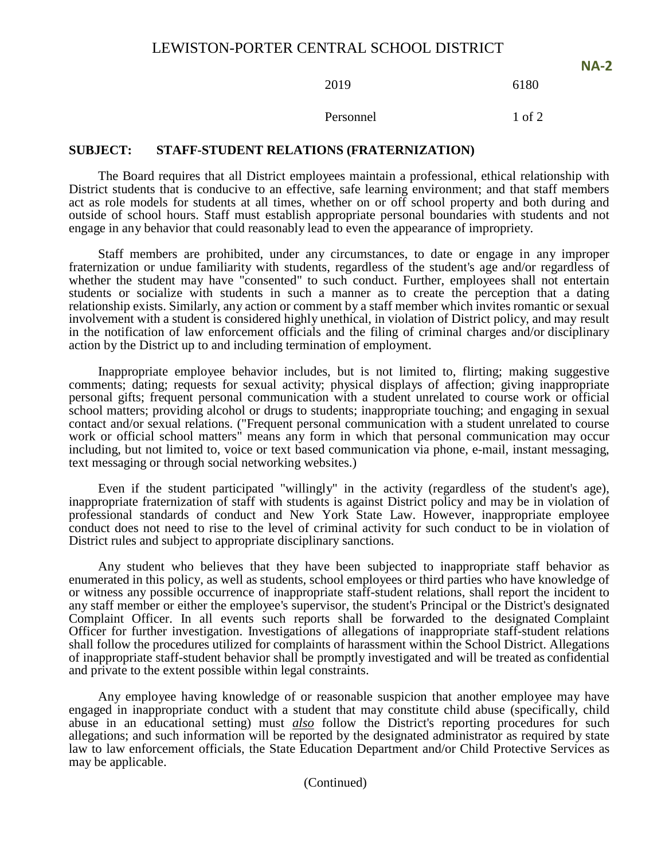2019 6180

**NA-2**

Personnel 1 of 2

#### **SUBJECT: STAFF-STUDENT RELATIONS (FRATERNIZATION)**

The Board requires that all District employees maintain a professional, ethical relationship with District students that is conducive to an effective, safe learning environment; and that staff members act as role models for students at all times, whether on or off school property and both during and outside of school hours. Staff must establish appropriate personal boundaries with students and not engage in any behavior that could reasonably lead to even the appearance of impropriety.

Staff members are prohibited, under any circumstances, to date or engage in any improper fraternization or undue familiarity with students, regardless of the student's age and/or regardless of whether the student may have "consented" to such conduct. Further, employees shall not entertain students or socialize with students in such a manner as to create the perception that a dating relationship exists. Similarly, any action or comment by a staff member which invites romantic or sexual involvement with a student is considered highly unethical, in violation of District policy, and may result in the notification of law enforcement officials and the filing of criminal charges and/or disciplinary action by the District up to and including termination of employment.

Inappropriate employee behavior includes, but is not limited to, flirting; making suggestive comments; dating; requests for sexual activity; physical displays of affection; giving inappropriate personal gifts; frequent personal communication with a student unrelated to course work or official school matters; providing alcohol or drugs to students; inappropriate touching; and engaging in sexual contact and/or sexual relations. ("Frequent personal communication with a student unrelated to course work or official school matters" means any form in which that personal communication may occur including, but not limited to, voice or text based communication via phone, e-mail, instant messaging, text messaging or through social networking websites.)

Even if the student participated "willingly" in the activity (regardless of the student's age), inappropriate fraternization of staff with students is against District policy and may be in violation of professional standards of conduct and New York State Law. However, inappropriate employee conduct does not need to rise to the level of criminal activity for such conduct to be in violation of District rules and subject to appropriate disciplinary sanctions.

Any student who believes that they have been subjected to inappropriate staff behavior as enumerated in this policy, as well as students, school employees or third parties who have knowledge of or witness any possible occurrence of inappropriate staff-student relations, shall report the incident to any staff member or either the employee's supervisor, the student's Principal or the District's designated Complaint Officer. In all events such reports shall be forwarded to the designated Complaint Officer for further investigation. Investigations of allegations of inappropriate staff-student relations shall follow the procedures utilized for complaints of harassment within the School District. Allegations of inappropriate staff-student behavior shall be promptly investigated and will be treated as confidential and private to the extent possible within legal constraints.

Any employee having knowledge of or reasonable suspicion that another employee may have engaged in inappropriate conduct with a student that may constitute child abuse (specifically, child abuse in an educational setting) must *also* follow the District's reporting procedures for such allegations; and such information will be reported by the designated administrator as required by state law to law enforcement officials, the State Education Department and/or Child Protective Services as may be applicable.

(Continued)